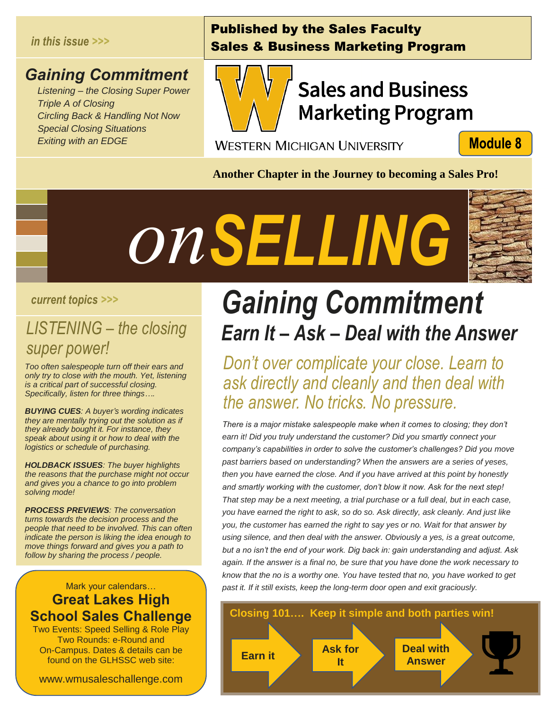#### *in this issue >>>*

#### *Gaining Commitment*

 *Listening – the Closing Super Power Triple A of Closing Circling Back & Handling Not Now Special Closing Situations Exiting with an EDGE*

### Published by the Sales Faculty Sales & Business Marketing Program



## **Sales and Business Marketing Program**

**WESTERN MICHIGAN UNIVERSITY** 

**Module 8** 

**Another Chapter in the Journey to becoming a Sales Pro!**



#### *current topics >>>*

## *LISTENING – the closing super power! See See See See See See See See See Se*<br>References

*Too often salespeople turn off their ears and only try to close with the mouth. Yet, listening is a critical part of successful closing. Specifically, listen for three things….*

*BUYING CUES: A buyer's wording indicates they are mentally trying out the solution as if they already bought it. For instance, they speak about using it or how to deal with the logistics or schedule of purchasing.*

*HOLDBACK ISSUES: The buyer highlights the reasons that the purchase might not occur and gives you a chance to go into problem solving mode!* 

*PROCESS PREVIEWS: The conversation turns towards the decision process and the people that need to be involved. This can often indicate the person is liking the idea enough to move things forward and gives you a path to follow by sharing the process / people.*

#### Mark your calendars… **Great Lakes High School Sales Challenge**

Two Events: Speed Selling & Role Play Two Rounds: e-Round and On-Campus. Dates & details can be found on the GLHSSC web site:

www.wmusaleschallenge.com

## *Gaining Commitment Earn It – Ask – Deal with the Answer*

*Don't over complicate your close. Learn to ask directly and cleanly and then deal with the answer. No tricks. No pressure.*

*There is a major mistake salespeople make when it comes to closing; they don't earn it! Did you truly understand the customer? Did you smartly connect your company's capabilities in order to solve the customer's challenges? Did you move past barriers based on understanding? When the answers are a series of yeses, then you have earned the close. And if you have arrived at this point by honestly and smartly working with the customer, don't blow it now. Ask for the next step! That step may be a next meeting, a trial purchase or a full deal, but in each case, you have earned the right to ask, so do so. Ask directly, ask cleanly. And just like you, the customer has earned the right to say yes or no. Wait for that answer by using silence, and then deal with the answer. Obviously a yes, is a great outcome, but a no isn't the end of your work. Dig back in: gain understanding and adjust. Ask again. If the answer is a final no, be sure that you have done the work necessary to know that the no is a worthy one. You have tested that no, you have worked to get past it. If it still exists, keep the long-term door open and exit graciously.*

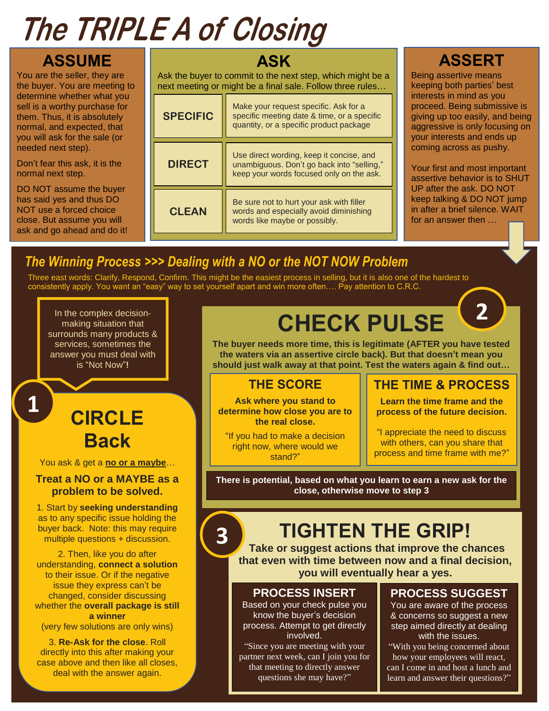# **The TRIPLE A of Closing**

**ASSUME** You are the seller, they are the buyer. You are meeting to determine whether what you sell is a worthy purchase for them. Thus, it is absolutely normal, and expected, that you will ask for the sale (or needed next step).

Don't fear this ask, it is the normal next step.

DO NOT assume the buyer has said yes and thus DO NOT use a forced choice close. But assume you will ask and go ahead and do it!

#### **ASK**

Ask the buyer to commit to the next step, which might be a next meeting or might be a final sale. Follow three rules…

| <b>SPECIFIC</b> | Make your request specific. Ask for a<br>specific meeting date & time, or a specific<br>quantity, or a specific product package    |
|-----------------|------------------------------------------------------------------------------------------------------------------------------------|
| <b>DIRECT</b>   | Use direct wording, keep it concise, and<br>unambiguous. Don't go back into "selling,"<br>keep your words focused only on the ask. |
| <b>CLEAN</b>    | Be sure not to hurt your ask with filler<br>words and especially avoid diminishing<br>words like maybe or possibly.                |

### **ASSERT**

Being assertive means keeping both parties' best interests in mind as you proceed. Being submissive is giving up too easily, and being aggressive is only focusing on your interests and ends up coming across as pushy.

Your first and most important assertive behavior is to SHUT UP after the ask. DO NOT keep talking & DO NOT jump in after a brief silence. WAIT for an answer then …

**2**

### *The Winning Process >>> Dealing with a NO or the NOT NOW Problem*

Three east words: Clarify, Respond, Confirm. This might be the easiest process in selling, but it is also one of the hardest to consistently apply. You want an "easy" way to set yourself apart and win more often…. Pay attention to C.R.C.

In the complex decisionmaking situation that surrounds many products & services, sometimes the answer you must deal with is "Not Now"**!**

**1**

### **CIRCLE Back**

You ask & get a **no or a maybe**…

#### **Treat a NO or a MAYBE as a problem to be solved.**

1. Start by **seeking understanding** as to any specific issue holding the buyer back. Note: this may require multiple questions + discussion.

2. Then, like you do after understanding, **connect a solution** to their issue. Or if the negative issue they express can't be changed, consider discussing whether the **overall package is still a winner** (very few solutions are only wins)

3. **Re-Ask for the close**. Roll directly into this after making your case above and then like all closes, deal with the answer again.

## **CHECK PULSE**

**The buyer needs more time, this is legitimate (AFTER you have tested the waters via an assertive circle back). But that doesn't mean you should just walk away at that point. Test the waters again & find out…**

#### **THE SCORE**

**Ask where you stand to determine how close you are to the real close.**

"If you had to make a decision right now, where would we stand?"

#### **THE TIME & PROCESS**

**Learn the time frame and the process of the future decision.**

"I appreciate the need to discuss with others, can you share that process and time frame with me?"

**There is potential, based on what you learn to earn a new ask for the close, otherwise move to step 3**

## **TIGHTEN THE GRIP!**

**Take or suggest actions that improve the chances that even with time between now and a final decision, you will eventually hear a yes.**

#### **PROCESS INSERT**

Based on your check pulse you know the buyer's decision process. Attempt to get directly involved.

"Since you are meeting with your partner next week, can I join you for that meeting to directly answer questions she may have?"

#### **PROCESS SUGGEST**

You are aware of the process & concerns so suggest a new step aimed directly at dealing with the issues.

"With you being concerned about how your employees will react, can I come in and host a lunch and learn and answer their questions?"